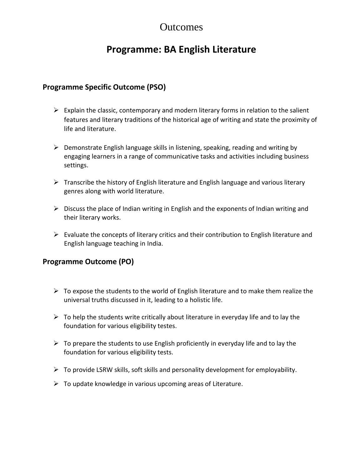## **Outcomes**

# **Programme: BA English Literature**

#### **Programme Specific Outcome (PSO)**

- $\triangleright$  Explain the classic, contemporary and modern literary forms in relation to the salient features and literary traditions of the historical age of writing and state the proximity of life and literature.
- $\triangleright$  Demonstrate English language skills in listening, speaking, reading and writing by engaging learners in a range of communicative tasks and activities including business settings.
- $\triangleright$  Transcribe the history of English literature and English language and various literary genres along with world literature.
- $\triangleright$  Discuss the place of Indian writing in English and the exponents of Indian writing and their literary works.
- $\triangleright$  Evaluate the concepts of literary critics and their contribution to English literature and English language teaching in India.

#### **Programme Outcome (PO)**

- $\triangleright$  To expose the students to the world of English literature and to make them realize the universal truths discussed in it, leading to a holistic life.
- $\triangleright$  To help the students write critically about literature in everyday life and to lay the foundation for various eligibility testes.
- $\triangleright$  To prepare the students to use English proficiently in everyday life and to lay the foundation for various eligibility tests.
- $\triangleright$  To provide LSRW skills, soft skills and personality development for employability.
- $\triangleright$  To update knowledge in various upcoming areas of Literature.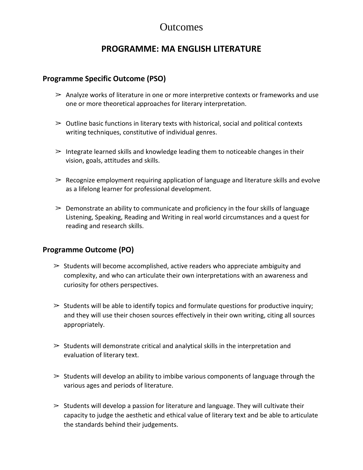### **Outcomes**

### **PROGRAMME: MA ENGLISH LITERATURE**

#### **Programme Specific Outcome (PSO)**

- $\geq$  Analyze works of literature in one or more interpretive contexts or frameworks and use one or more theoretical approaches for literary interpretation.
- $\geq$  Outline basic functions in literary texts with historical, social and political contexts writing techniques, constitutive of individual genres.
- $\geq$  Integrate learned skills and knowledge leading them to noticeable changes in their vision, goals, attitudes and skills.
- $\geq$  Recognize employment requiring application of language and literature skills and evolve as a lifelong learner for professional development.
- $\geq$  Demonstrate an ability to communicate and proficiency in the four skills of language Listening, Speaking, Reading and Writing in real world circumstances and a quest for reading and research skills.

#### **Programme Outcome (PO)**

- $\geq$  Students will become accomplished, active readers who appreciate ambiguity and complexity, and who can articulate their own interpretations with an awareness and curiosity for others perspectives.
- $\geq$  Students will be able to identify topics and formulate questions for productive inquiry; and they will use their chosen sources effectively in their own writing, citing all sources appropriately.
- $\geq$  Students will demonstrate critical and analytical skills in the interpretation and evaluation of literary text.
- $\geq$  Students will develop an ability to imbibe various components of language through the various ages and periods of literature.
- $\geq$  Students will develop a passion for literature and language. They will cultivate their capacity to judge the aesthetic and ethical value of literary text and be able to articulate the standards behind their judgements.